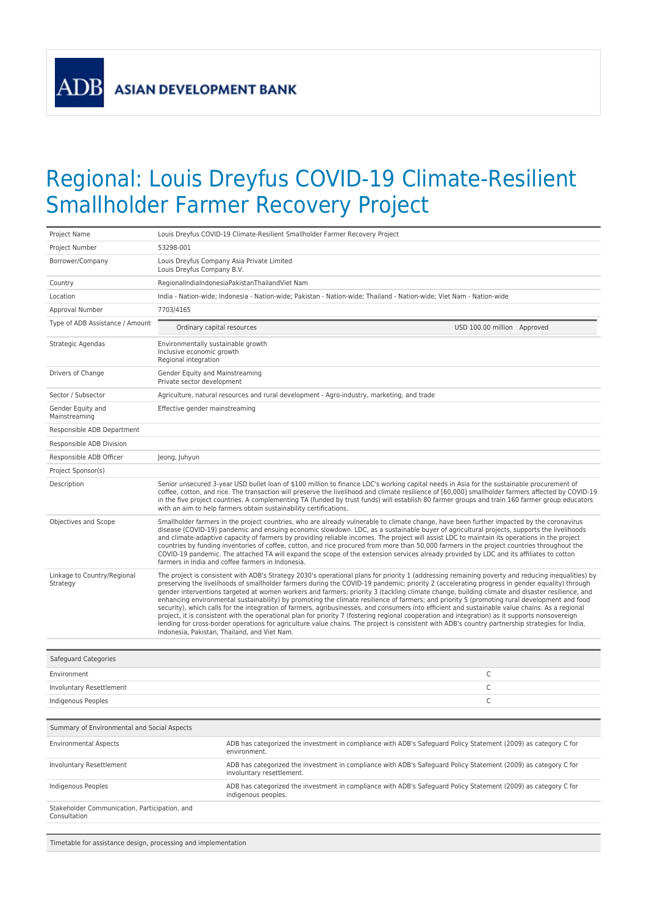**ADB** 

## Regional: Louis Dreyfus COVID-19 Climate-Resilient Smallholder Farmer Recovery Project

| Project Name                                                   | Louis Dreyfus COVID-19 Climate-Resilient Smallholder Farmer Recovery Project                                                                                                                                                                                                                                                                                                                                                                                                                                                                                                                                                                                                                                                                                                                                                                                                                                                                                                                                                                                                                                   |  |
|----------------------------------------------------------------|----------------------------------------------------------------------------------------------------------------------------------------------------------------------------------------------------------------------------------------------------------------------------------------------------------------------------------------------------------------------------------------------------------------------------------------------------------------------------------------------------------------------------------------------------------------------------------------------------------------------------------------------------------------------------------------------------------------------------------------------------------------------------------------------------------------------------------------------------------------------------------------------------------------------------------------------------------------------------------------------------------------------------------------------------------------------------------------------------------------|--|
| Project Number                                                 | 53298-001                                                                                                                                                                                                                                                                                                                                                                                                                                                                                                                                                                                                                                                                                                                                                                                                                                                                                                                                                                                                                                                                                                      |  |
| Borrower/Company                                               | Louis Dreyfus Company Asia Private Limited<br>Louis Dreyfus Company B.V.                                                                                                                                                                                                                                                                                                                                                                                                                                                                                                                                                                                                                                                                                                                                                                                                                                                                                                                                                                                                                                       |  |
| Country                                                        | RegionalIndiaIndonesiaPakistanThailandViet Nam                                                                                                                                                                                                                                                                                                                                                                                                                                                                                                                                                                                                                                                                                                                                                                                                                                                                                                                                                                                                                                                                 |  |
| Location                                                       | India - Nation-wide: Indonesia - Nation-wide: Pakistan - Nation-wide: Thailand - Nation-wide: Viet Nam - Nation-wide                                                                                                                                                                                                                                                                                                                                                                                                                                                                                                                                                                                                                                                                                                                                                                                                                                                                                                                                                                                           |  |
| Approval Number                                                | 7703/4165                                                                                                                                                                                                                                                                                                                                                                                                                                                                                                                                                                                                                                                                                                                                                                                                                                                                                                                                                                                                                                                                                                      |  |
| Type of ADB Assistance / Amount                                | Ordinary capital resources<br>USD 100.00 million Approved                                                                                                                                                                                                                                                                                                                                                                                                                                                                                                                                                                                                                                                                                                                                                                                                                                                                                                                                                                                                                                                      |  |
| Strategic Agendas                                              | Environmentally sustainable growth<br>Inclusive economic growth<br>Regional integration                                                                                                                                                                                                                                                                                                                                                                                                                                                                                                                                                                                                                                                                                                                                                                                                                                                                                                                                                                                                                        |  |
| Drivers of Change                                              | Gender Equity and Mainstreaming<br>Private sector development                                                                                                                                                                                                                                                                                                                                                                                                                                                                                                                                                                                                                                                                                                                                                                                                                                                                                                                                                                                                                                                  |  |
| Sector / Subsector                                             | Agriculture, natural resources and rural development - Agro-industry, marketing, and trade                                                                                                                                                                                                                                                                                                                                                                                                                                                                                                                                                                                                                                                                                                                                                                                                                                                                                                                                                                                                                     |  |
| Gender Equity and<br>Mainstreaming                             | Effective gender mainstreaming                                                                                                                                                                                                                                                                                                                                                                                                                                                                                                                                                                                                                                                                                                                                                                                                                                                                                                                                                                                                                                                                                 |  |
| Responsible ADB Department                                     |                                                                                                                                                                                                                                                                                                                                                                                                                                                                                                                                                                                                                                                                                                                                                                                                                                                                                                                                                                                                                                                                                                                |  |
| Responsible ADB Division                                       |                                                                                                                                                                                                                                                                                                                                                                                                                                                                                                                                                                                                                                                                                                                                                                                                                                                                                                                                                                                                                                                                                                                |  |
| Responsible ADB Officer                                        | Jeong, Juhyun                                                                                                                                                                                                                                                                                                                                                                                                                                                                                                                                                                                                                                                                                                                                                                                                                                                                                                                                                                                                                                                                                                  |  |
| Project Sponsor(s)                                             |                                                                                                                                                                                                                                                                                                                                                                                                                                                                                                                                                                                                                                                                                                                                                                                                                                                                                                                                                                                                                                                                                                                |  |
| Description                                                    | Senior unsecured 3-year USD bullet loan of \$100 million to finance LDC's working capital needs in Asia for the sustainable procurement of<br>coffee, cotton, and rice. The transaction will preserve the livelihood and climate resilience of [60,000] smallholder farmers affected by COVID-19<br>in the five project countries. A complementing TA (funded by trust funds) will establish 80 farmer groups and train 160 farmer group educators<br>with an aim to help farmers obtain sustainability certifications.                                                                                                                                                                                                                                                                                                                                                                                                                                                                                                                                                                                        |  |
| Objectives and Scope                                           | Smallholder farmers in the project countries, who are already vulnerable to climate change, have been further impacted by the coronavirus<br>disease (COVID-19) pandemic and ensuing economic slowdown. LDC, as a sustainable buyer of agricultural projects, supports the livelihoods<br>and climate-adaptive capacity of farmers by providing reliable incomes. The project will assist LDC to maintain its operations in the project<br>countries by funding inventories of coffee, cotton, and rice procured from more than 50,000 farmers in the project countries throughout the<br>COVID-19 pandemic. The attached TA will expand the scope of the extension services already provided by LDC and its affiliates to cotton<br>farmers in India and coffee farmers in Indonesia.                                                                                                                                                                                                                                                                                                                         |  |
| Linkage to Country/Regional<br>Strategy                        | The project is consistent with ADB's Strategy 2030's operational plans for priority 1 (addressing remaining poverty and reducing inequalities) by<br>preserving the livelihoods of smallholder farmers during the COVID-19 pandemic; priority 2 (accelerating progress in gender equality) through<br>gender interventions targeted at women workers and farmers; priority 3 (tackling climate change, building climate and disaster resilience, and<br>enhancing environmental sustainability) by promoting the climate resilience of farmers; and priority 5 (promoting rural development and food<br>security), which calls for the integration of farmers, agribusinesses, and consumers into efficient and sustainable value chains. As a regional<br>project, it is consistent with the operational plan for priority 7 (fostering regional cooperation and integration) as it supports nonsovereign<br>lending for cross-border operations for agriculture value chains. The project is consistent with ADB's country partnership strategies for India,<br>Indonesia, Pakistan, Thailand, and Viet Nam. |  |
| Safeguard Categories                                           |                                                                                                                                                                                                                                                                                                                                                                                                                                                                                                                                                                                                                                                                                                                                                                                                                                                                                                                                                                                                                                                                                                                |  |
| Environment                                                    | C                                                                                                                                                                                                                                                                                                                                                                                                                                                                                                                                                                                                                                                                                                                                                                                                                                                                                                                                                                                                                                                                                                              |  |
| Involuntary Resettlement                                       | C                                                                                                                                                                                                                                                                                                                                                                                                                                                                                                                                                                                                                                                                                                                                                                                                                                                                                                                                                                                                                                                                                                              |  |
| Indigenous Peoples                                             | C                                                                                                                                                                                                                                                                                                                                                                                                                                                                                                                                                                                                                                                                                                                                                                                                                                                                                                                                                                                                                                                                                                              |  |
|                                                                |                                                                                                                                                                                                                                                                                                                                                                                                                                                                                                                                                                                                                                                                                                                                                                                                                                                                                                                                                                                                                                                                                                                |  |
| Summary of Environmental and Social Aspects                    |                                                                                                                                                                                                                                                                                                                                                                                                                                                                                                                                                                                                                                                                                                                                                                                                                                                                                                                                                                                                                                                                                                                |  |
| <b>Environmental Aspects</b>                                   | ADB has categorized the investment in compliance with ADB's Safeguard Policy Statement (2009) as category C for<br>environment.                                                                                                                                                                                                                                                                                                                                                                                                                                                                                                                                                                                                                                                                                                                                                                                                                                                                                                                                                                                |  |
| Involuntary Resettlement                                       | ADB has categorized the investment in compliance with ADB's Safeguard Policy Statement (2009) as category C for<br>involuntary resettlement.                                                                                                                                                                                                                                                                                                                                                                                                                                                                                                                                                                                                                                                                                                                                                                                                                                                                                                                                                                   |  |
| Indigenous Peoples                                             | ADB has categorized the investment in compliance with ADB's Safeguard Policy Statement (2009) as category C for<br>indigenous peoples.                                                                                                                                                                                                                                                                                                                                                                                                                                                                                                                                                                                                                                                                                                                                                                                                                                                                                                                                                                         |  |
| Stakeholder Communication, Participation, and<br>Consultation  |                                                                                                                                                                                                                                                                                                                                                                                                                                                                                                                                                                                                                                                                                                                                                                                                                                                                                                                                                                                                                                                                                                                |  |
|                                                                |                                                                                                                                                                                                                                                                                                                                                                                                                                                                                                                                                                                                                                                                                                                                                                                                                                                                                                                                                                                                                                                                                                                |  |
| Timetable for assistance design, processing and implementation |                                                                                                                                                                                                                                                                                                                                                                                                                                                                                                                                                                                                                                                                                                                                                                                                                                                                                                                                                                                                                                                                                                                |  |